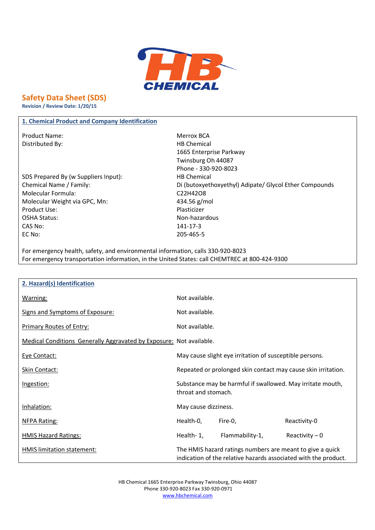

# **Safety Data Sheet (SDS)**

**Revision / Review Date: 1/20/15**

## **1. Chemical Product and Company Identification**

Product Name: Merrox BCA Distributed By: Notice and Security and Security HB Chemical

SDS Prepared By (w Suppliers Input): HB Chemical Molecular Formula: C22H42O8 Molecular Weight via GPC, Mn: 434.56 g/mol Product Use: Note and the Plasticizer Plasticizer OSHA Status: Non-hazardous CAS No: 141-17-3 EC No: 205-465-5

1665 Enterprise Parkway Twinsburg Oh 44087 Phone - 330-920-8023 Chemical Name / Family: Di (butoxyethoxyethyl) Adipate/ Glycol Ether Compounds

For emergency health, safety, and environmental information, calls 330-920-8023 For emergency transportation information, in the United States: call CHEMTREC at 800-424-9300

| 2. Hazard(s) Identification                                         |                      |                                                                                                                              |                 |
|---------------------------------------------------------------------|----------------------|------------------------------------------------------------------------------------------------------------------------------|-----------------|
| Warning:                                                            | Not available.       |                                                                                                                              |                 |
| Signs and Symptoms of Exposure:                                     | Not available.       |                                                                                                                              |                 |
| <b>Primary Routes of Entry:</b>                                     | Not available.       |                                                                                                                              |                 |
| Medical Conditions Generally Aggravated by Exposure: Not available. |                      |                                                                                                                              |                 |
| Eye Contact:                                                        |                      | May cause slight eye irritation of susceptible persons.                                                                      |                 |
| Skin Contact:                                                       |                      | Repeated or prolonged skin contact may cause skin irritation.                                                                |                 |
| Ingestion:                                                          | throat and stomach.  | Substance may be harmful if swallowed. May irritate mouth,                                                                   |                 |
| Inhalation:                                                         | May cause dizziness. |                                                                                                                              |                 |
| <b>NFPA Rating:</b>                                                 | Health-0,            | Fire-0,                                                                                                                      | Reactivity-0    |
| <b>HMIS Hazard Ratings:</b>                                         | Health-1,            | Flammability-1,                                                                                                              | Reactivity $-0$ |
| HMIS limitation statement:                                          |                      | The HMIS hazard ratings numbers are meant to give a quick<br>indication of the relative hazards associated with the product. |                 |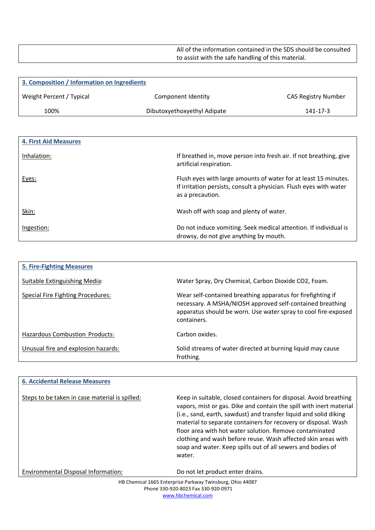All of the information contained in the SDS should be consulted to assist with the safe handling of this material.

| 3. Composition / Information on Ingredients |                             |                     |
|---------------------------------------------|-----------------------------|---------------------|
| Weight Percent / Typical                    | Component Identity          | CAS Registry Number |
| 100%                                        | Dibutoxyethoxyethyl Adipate | 141-17-3            |

| <b>4. First Aid Measures</b> |                                                                                                                                                           |
|------------------------------|-----------------------------------------------------------------------------------------------------------------------------------------------------------|
| Inhalation:                  | If breathed in, move person into fresh air. If not breathing, give<br>artificial respiration.                                                             |
| Eyes:                        | Flush eyes with large amounts of water for at least 15 minutes.<br>If irritation persists, consult a physician. Flush eyes with water<br>as a precaution. |
| Skin:                        | Wash off with soap and plenty of water.                                                                                                                   |
| Ingestion:                   | Do not induce vomiting. Seek medical attention. If individual is<br>drowsy, do not give anything by mouth.                                                |

| <b>5. Fire-Fighting Measures</b>      |                                                                                                                                                                                                           |
|---------------------------------------|-----------------------------------------------------------------------------------------------------------------------------------------------------------------------------------------------------------|
| Suitable Extinguishing Media:         | Water Spray, Dry Chemical, Carbon Dioxide CO2, Foam.                                                                                                                                                      |
| Special Fire Fighting Procedures:     | Wear self-contained breathing apparatus for firefighting if<br>necessary. A MSHA/NIOSH approved self-contained breathing<br>apparatus should be worn. Use water spray to cool fire-exposed<br>containers. |
| <b>Hazardous Combustion Products:</b> | Carbon oxides.                                                                                                                                                                                            |
| Unusual fire and explosion hazards:   | Solid streams of water directed at burning liquid may cause<br>frothing.                                                                                                                                  |

| <b>6. Accidental Release Measures</b>          |                                                                                                                                                                                                                                                                                                                                                                                                                                                                                      |
|------------------------------------------------|--------------------------------------------------------------------------------------------------------------------------------------------------------------------------------------------------------------------------------------------------------------------------------------------------------------------------------------------------------------------------------------------------------------------------------------------------------------------------------------|
| Steps to be taken in case material is spilled: | Keep in suitable, closed containers for disposal. Avoid breathing<br>vapors, mist or gas. Dike and contain the spill with inert material<br>(i.e., sand, earth, sawdust) and transfer liquid and solid diking<br>material to separate containers for recovery or disposal. Wash<br>floor area with hot water solution. Remove contaminated<br>clothing and wash before reuse. Wash affected skin areas with<br>soap and water. Keep spills out of all sewers and bodies of<br>water. |
| Environmental Disposal Information:            | Do not let product enter drains.                                                                                                                                                                                                                                                                                                                                                                                                                                                     |
|                                                | HR Chemical 1665 Enternrise Parkway Twinshurg Ohio 44087                                                                                                                                                                                                                                                                                                                                                                                                                             |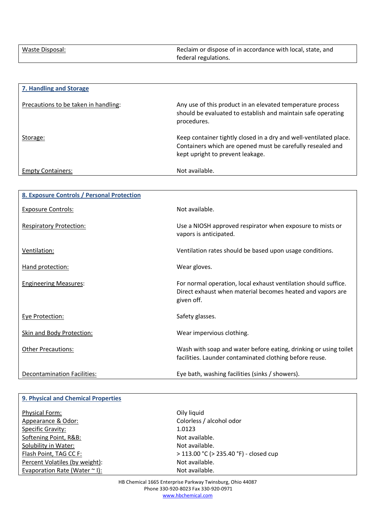| Waste Disposal: | Reclaim or dispose of in accordance with local, state, and |
|-----------------|------------------------------------------------------------|
|                 | federal regulations.                                       |

| 7. Handling and Storage              |                                                                                                                                                                     |
|--------------------------------------|---------------------------------------------------------------------------------------------------------------------------------------------------------------------|
| Precautions to be taken in handling: | Any use of this product in an elevated temperature process<br>should be evaluated to establish and maintain safe operating<br>procedures.                           |
| Storage:                             | Keep container tightly closed in a dry and well-ventilated place.<br>Containers which are opened must be carefully resealed and<br>kept upright to prevent leakage. |
| <b>Empty Containers:</b>             | Not available.                                                                                                                                                      |

| <b>8. Exposure Controls / Personal Protection</b> |                                                                                                                                             |
|---------------------------------------------------|---------------------------------------------------------------------------------------------------------------------------------------------|
| <b>Exposure Controls:</b>                         | Not available.                                                                                                                              |
| <b>Respiratory Protection:</b>                    | Use a NIOSH approved respirator when exposure to mists or<br>vapors is anticipated.                                                         |
| Ventilation:                                      | Ventilation rates should be based upon usage conditions.                                                                                    |
| Hand protection:                                  | Wear gloves.                                                                                                                                |
| <b>Engineering Measures:</b>                      | For normal operation, local exhaust ventilation should suffice.<br>Direct exhaust when material becomes heated and vapors are<br>given off. |
| Eye Protection:                                   | Safety glasses.                                                                                                                             |
| <b>Skin and Body Protection:</b>                  | Wear impervious clothing.                                                                                                                   |
| <b>Other Precautions:</b>                         | Wash with soap and water before eating, drinking or using toilet<br>facilities. Launder contaminated clothing before reuse.                 |
| Decontamination Facilities:                       | Eye bath, washing facilities (sinks / showers).                                                                                             |

| <b>9. Physical and Chemical Properties</b> |                                        |
|--------------------------------------------|----------------------------------------|
| <b>Physical Form:</b>                      | Oily liquid                            |
| Appearance & Odor:                         | Colorless / alcohol odor               |
| Specific Gravity:                          | 1.0123                                 |
| Softening Point, R&B:                      | Not available.                         |
| Solubility in Water:                       | Not available.                         |
| Flash Point, TAG CC F:                     | > 113.00 °C (> 235.40 °F) - closed cup |
| Percent Volatiles (by weight):             | Not available.                         |
| Evaporation Rate (Water $\sim$ I):         | Not available.                         |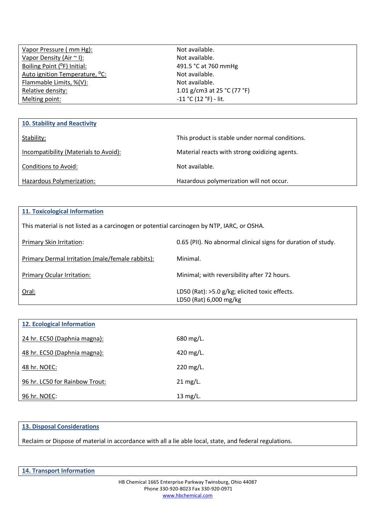| Vapor Pressure (mm Hg):                    | Not available.                |  |
|--------------------------------------------|-------------------------------|--|
| Vapor Density (Air $\sim$ I):              | Not available.                |  |
| Boiling Point ( <sup>o</sup> F) Initial:   | 491.5 °C at 760 mmHg          |  |
| Auto ignition Temperature, <sup>o</sup> C: | Not available.                |  |
| Flammable Limits, %(V):                    | Not available.                |  |
| Relative density:                          | 1.01 g/cm3 at 25 $°C$ (77 °F) |  |
| Melting point:                             | $-11 °C (12 °F) - lit.$       |  |
|                                            |                               |  |
|                                            |                               |  |

| <b>10. Stability and Reactivity</b>   |                                                 |
|---------------------------------------|-------------------------------------------------|
| Stability:                            | This product is stable under normal conditions. |
| Incompatibility (Materials to Avoid): | Material reacts with strong oxidizing agents.   |
| Conditions to Avoid:                  | Not available.                                  |
| Hazardous Polymerization:             | Hazardous polymerization will not occur.        |

## **11. Toxicological Information**

This material is not listed as a carcinogen or potential carcinogen by NTP, IARC, or OSHA.

| Primary Skin Irritation:                         | 0.65 (PII). No abnormal clinical signs for duration of study.            |
|--------------------------------------------------|--------------------------------------------------------------------------|
| Primary Dermal Irritation (male/female rabbits): | Minimal.                                                                 |
| <b>Primary Ocular Irritation:</b>                | Minimal; with reversibility after 72 hours.                              |
| Oral:                                            | LD50 (Rat): >5.0 g/kg; elicited toxic effects.<br>LD50 (Rat) 6,000 mg/kg |

| <b>12. Ecological Information</b> |           |
|-----------------------------------|-----------|
| 24 hr. EC50 (Daphnia magna):      | 680 mg/L. |
| 48 hr. EC50 (Daphnia magna):      | 420 mg/L. |
| 48 hr. NOEC:                      | 220 mg/L. |
| 96 hr. LC50 for Rainbow Trout:    | 21 mg/L.  |
| 96 hr. NOEC:                      | 13 mg/L.  |

## **13. Disposal Considerations**

Reclaim or Dispose of material in accordance with all a lie able local, state, and federal regulations.

|  | <b>14. Transport Information</b> |
|--|----------------------------------|
|--|----------------------------------|